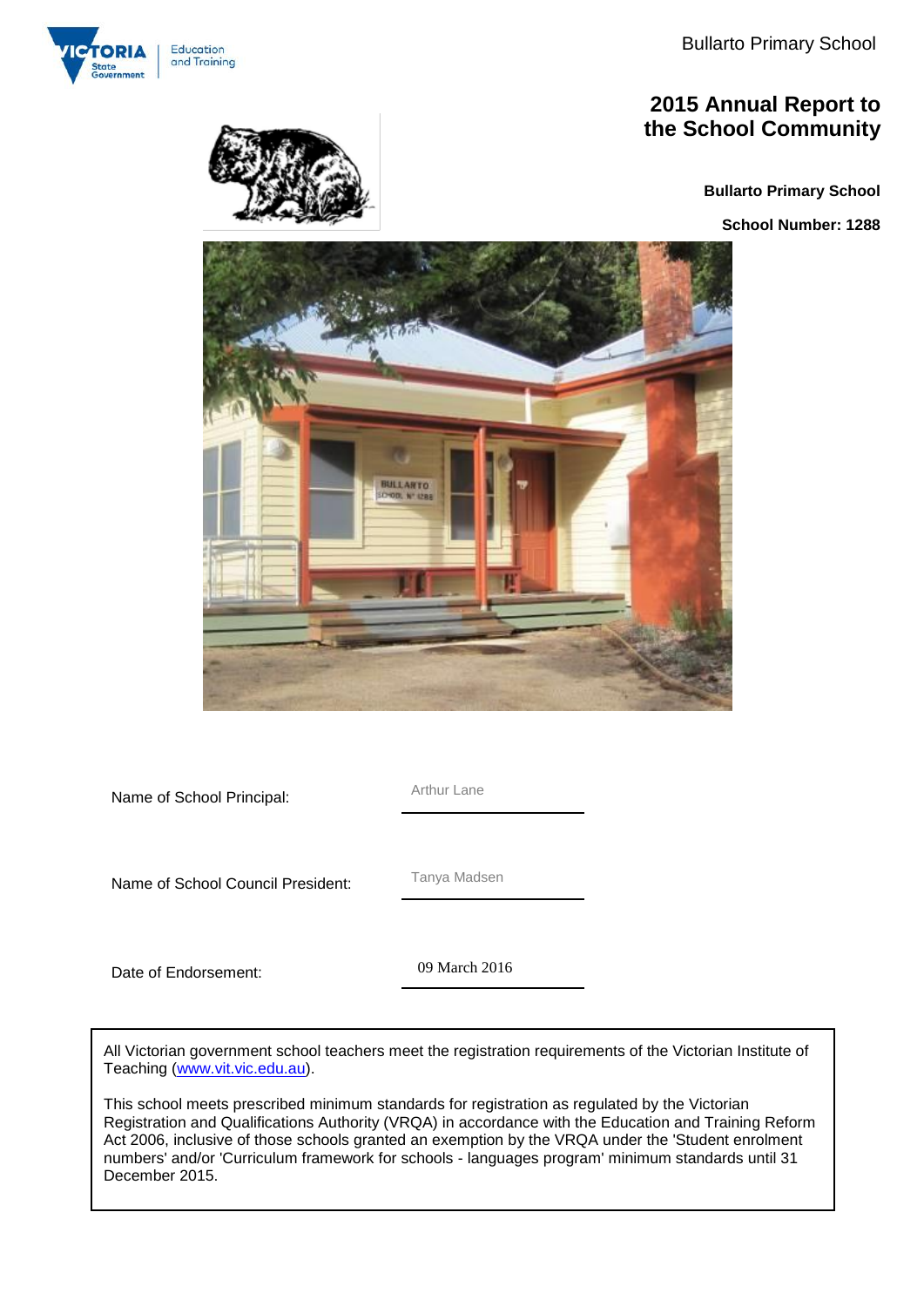

### **2015 Annual Report to the School Community**

**Bullarto Primary School**

**School Number: 1288**



Name of School Principal: Arthur Lane

Name of School Council President: Tanya Madsen

Date of Endorsement:

09 March 2016 09 March 2016

All Victorian government school teachers meet the registration requirements of the Victorian Institute of Teaching [\(www.vit.vic.edu.au\)](http://www.vit.vic.edu.au/).

This school meets prescribed minimum standards for registration as regulated by the Victorian Registration and Qualifications Authority (VRQA) in accordance with the Education and Training Reform Act 2006, inclusive of those schools granted an exemption by the VRQA under the 'Student enrolment numbers' and/or 'Curriculum framework for schools - languages program' minimum standards until 31 December 2015.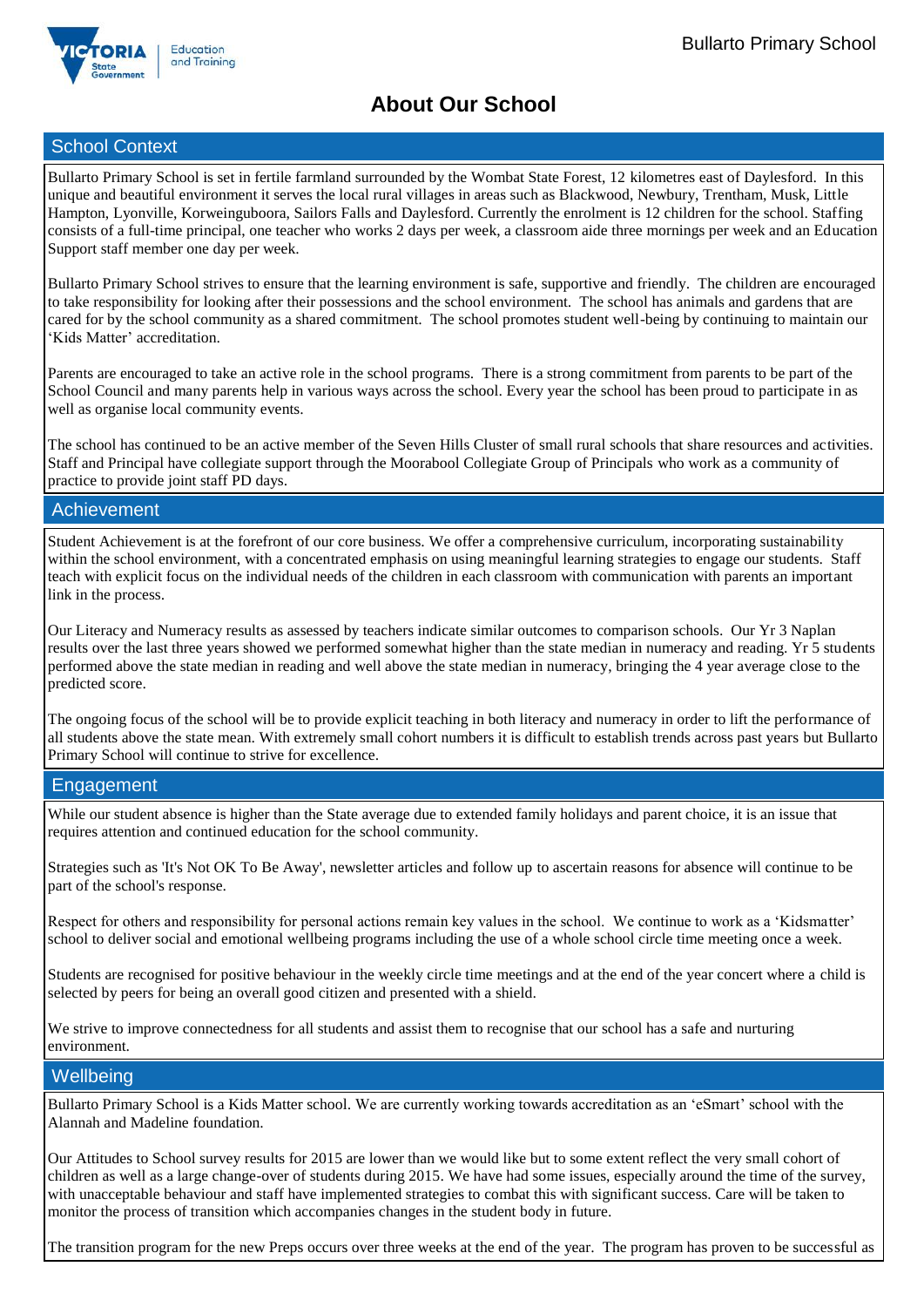

### **About Our School**

### School Context

Bullarto Primary School is set in fertile farmland surrounded by the Wombat State Forest, 12 kilometres east of Daylesford. In this unique and beautiful environment it serves the local rural villages in areas such as Blackwood, Newbury, Trentham, Musk, Little Hampton, Lyonville, Korweinguboora, Sailors Falls and Daylesford. Currently the enrolment is 12 children for the school. Staffing consists of a full-time principal, one teacher who works 2 days per week, a classroom aide three mornings per week and an Education Support staff member one day per week.

Bullarto Primary School strives to ensure that the learning environment is safe, supportive and friendly. The children are encouraged to take responsibility for looking after their possessions and the school environment. The school has animals and gardens that are cared for by the school community as a shared commitment. The school promotes student well-being by continuing to maintain our 'Kids Matter' accreditation.

Parents are encouraged to take an active role in the school programs. There is a strong commitment from parents to be part of the School Council and many parents help in various ways across the school. Every year the school has been proud to participate in as well as organise local community events.

The school has continued to be an active member of the Seven Hills Cluster of small rural schools that share resources and activities. Staff and Principal have collegiate support through the Moorabool Collegiate Group of Principals who work as a community of practice to provide joint staff PD days.

### Achievement

Student Achievement is at the forefront of our core business. We offer a comprehensive curriculum, incorporating sustainability within the school environment, with a concentrated emphasis on using meaningful learning strategies to engage our students. Staff teach with explicit focus on the individual needs of the children in each classroom with communication with parents an important link in the process.

Our Literacy and Numeracy results as assessed by teachers indicate similar outcomes to comparison schools. Our Yr 3 Naplan results over the last three years showed we performed somewhat higher than the state median in numeracy and reading. Yr 5 students performed above the state median in reading and well above the state median in numeracy, bringing the 4 year average close to the predicted score.

The ongoing focus of the school will be to provide explicit teaching in both literacy and numeracy in order to lift the performance of all students above the state mean. With extremely small cohort numbers it is difficult to establish trends across past years but Bullarto Primary School will continue to strive for excellence.

### Engagement

While our student absence is higher than the State average due to extended family holidays and parent choice, it is an issue that requires attention and continued education for the school community.

Strategies such as 'It's Not OK To Be Away', newsletter articles and follow up to ascertain reasons for absence will continue to be part of the school's response.

Respect for others and responsibility for personal actions remain key values in the school. We continue to work as a 'Kidsmatter' school to deliver social and emotional wellbeing programs including the use of a whole school circle time meeting once a week.

Students are recognised for positive behaviour in the weekly circle time meetings and at the end of the year concert where a child is selected by peers for being an overall good citizen and presented with a shield.

We strive to improve connectedness for all students and assist them to recognise that our school has a safe and nurturing environment.

### **Wellbeing**

Bullarto Primary School is a Kids Matter school. We are currently working towards accreditation as an 'eSmart' school with the Alannah and Madeline foundation.

Our Attitudes to School survey results for 2015 are lower than we would like but to some extent reflect the very small cohort of children as well as a large change-over of students during 2015. We have had some issues, especially around the time of the survey, with unacceptable behaviour and staff have implemented strategies to combat this with significant success. Care will be taken to monitor the process of transition which accompanies changes in the student body in future.

The transition program for the new Preps occurs over three weeks at the end of the year. The program has proven to be successful as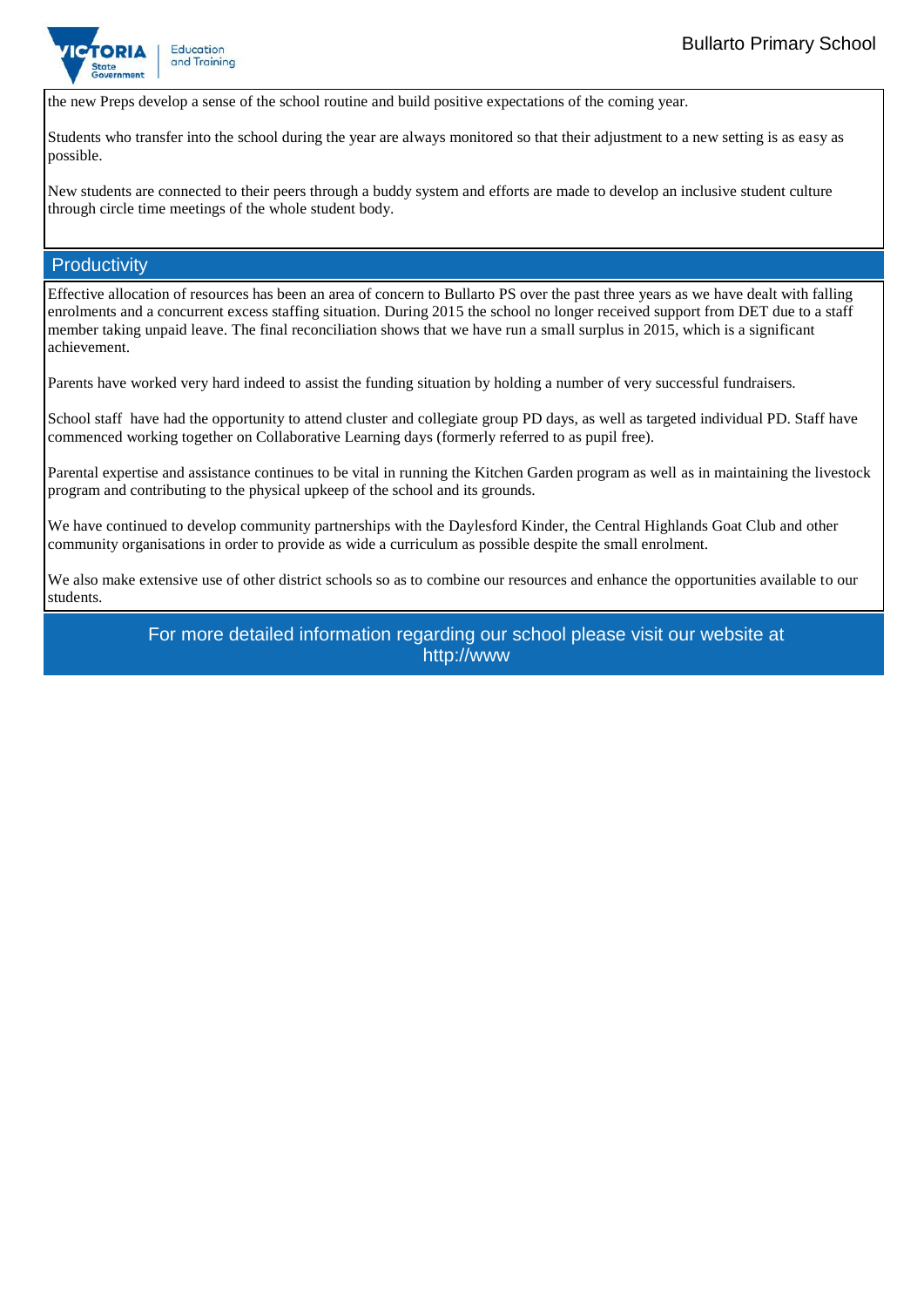

the new Preps develop a sense of the school routine and build positive expectations of the coming year.

Students who transfer into the school during the year are always monitored so that their adjustment to a new setting is as easy as possible.

New students are connected to their peers through a buddy system and efforts are made to develop an inclusive student culture through circle time meetings of the whole student body.

#### **Productivity**

Effective allocation of resources has been an area of concern to Bullarto PS over the past three years as we have dealt with falling enrolments and a concurrent excess staffing situation. During 2015 the school no longer received support from DET due to a staff member taking unpaid leave. The final reconciliation shows that we have run a small surplus in 2015, which is a significant achievement.

Parents have worked very hard indeed to assist the funding situation by holding a number of very successful fundraisers.

School staff have had the opportunity to attend cluster and collegiate group PD days, as well as targeted individual PD. Staff have commenced working together on Collaborative Learning days (formerly referred to as pupil free).

Parental expertise and assistance continues to be vital in running the Kitchen Garden program as well as in maintaining the livestock program and contributing to the physical upkeep of the school and its grounds.

We have continued to develop community partnerships with the Daylesford Kinder, the Central Highlands Goat Club and other community organisations in order to provide as wide a curriculum as possible despite the small enrolment.

We also make extensive use of other district schools so as to combine our resources and enhance the opportunities available to our students.

> For more detailed information regarding our school please visit our website at http://www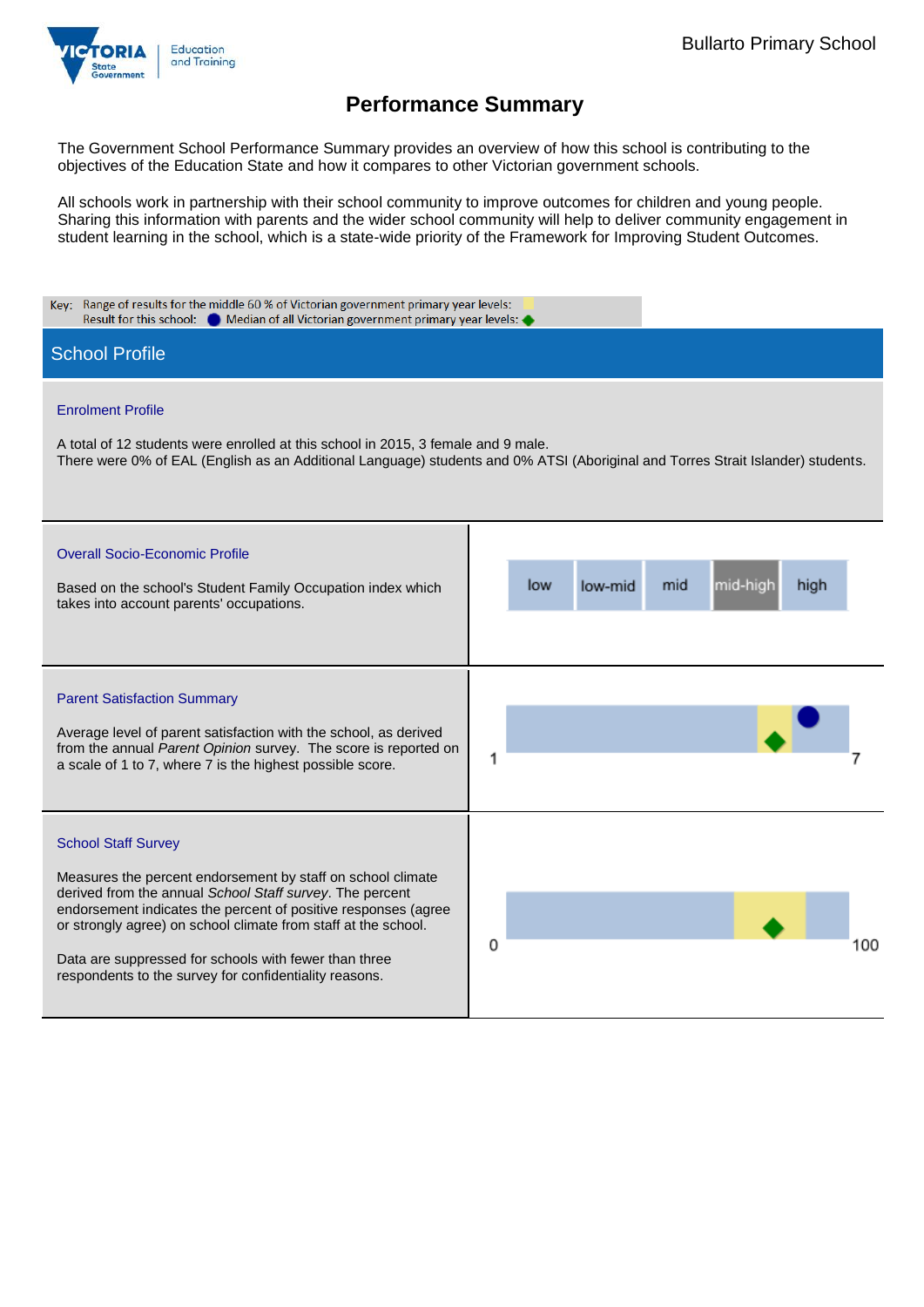

The Government School Performance Summary provides an overview of how this school is contributing to the objectives of the Education State and how it compares to other Victorian government schools.

All schools work in partnership with their school community to improve outcomes for children and young people. Sharing this information with parents and the wider school community will help to deliver community engagement in student learning in the school, which is a state-wide priority of the Framework for Improving Student Outcomes.

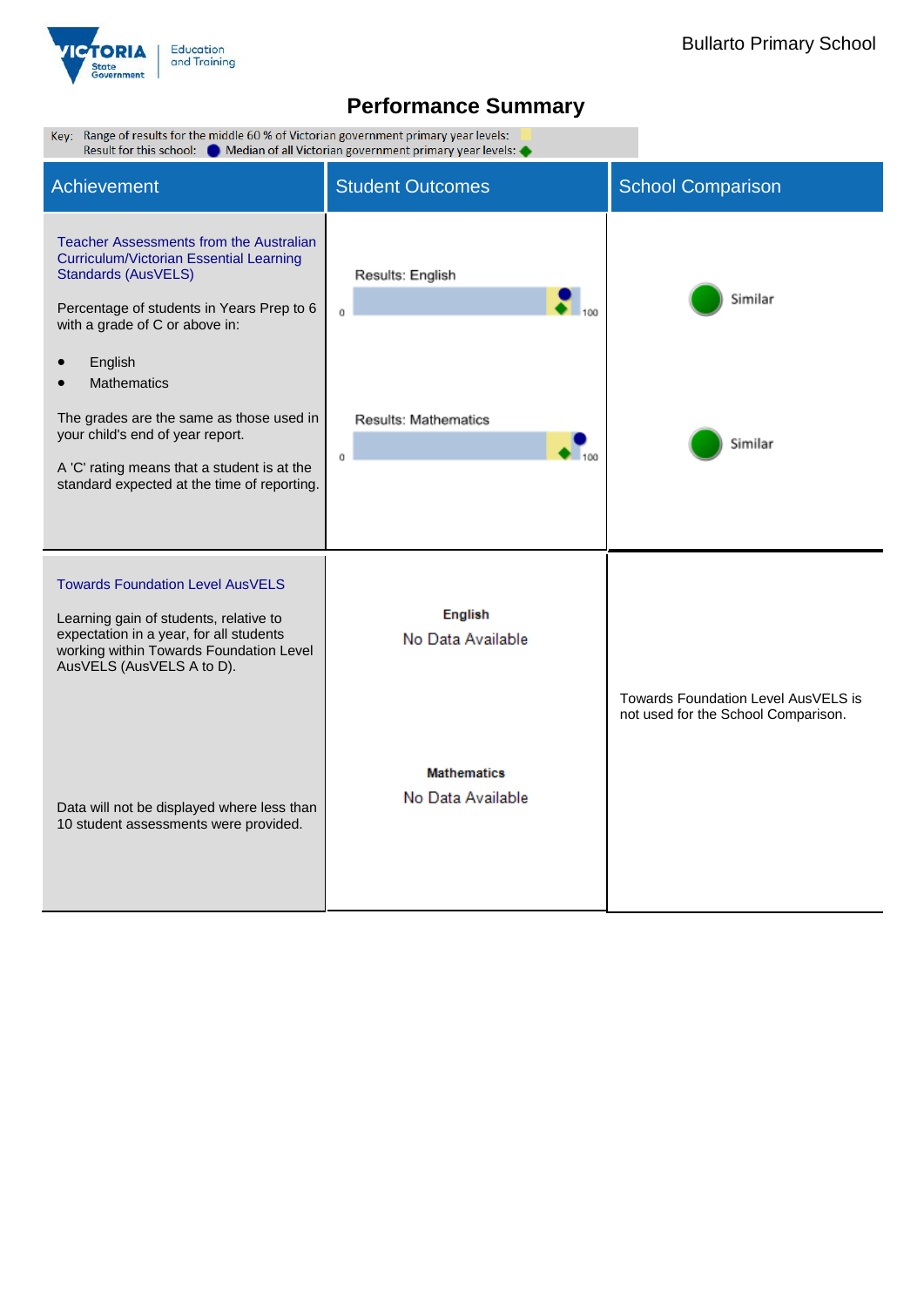

| Key: Range of results for the middle 60 % of Victorian government primary year levels:<br>Result for this school: Comedian of all Victorian government primary year levels:                                                                                                                                                                                                                                    |                                                    |                                                                            |  |  |  |  |
|----------------------------------------------------------------------------------------------------------------------------------------------------------------------------------------------------------------------------------------------------------------------------------------------------------------------------------------------------------------------------------------------------------------|----------------------------------------------------|----------------------------------------------------------------------------|--|--|--|--|
| Achievement                                                                                                                                                                                                                                                                                                                                                                                                    | <b>Student Outcomes</b>                            | <b>School Comparison</b>                                                   |  |  |  |  |
| <b>Teacher Assessments from the Australian</b><br>Curriculum/Victorian Essential Learning<br>Standards (AusVELS)<br>Percentage of students in Years Prep to 6<br>with a grade of C or above in:<br>English<br><b>Mathematics</b><br>The grades are the same as those used in<br>your child's end of year report.<br>A 'C' rating means that a student is at the<br>standard expected at the time of reporting. | Results: English<br>0<br>Results: Mathematics<br>0 | Similar<br>Similar                                                         |  |  |  |  |
| <b>Towards Foundation Level AusVELS</b><br>Learning gain of students, relative to<br>expectation in a year, for all students<br>working within Towards Foundation Level<br>AusVELS (AusVELS A to D).                                                                                                                                                                                                           | <b>English</b><br>No Data Available                |                                                                            |  |  |  |  |
| Data will not be displayed where less than<br>10 student assessments were provided.                                                                                                                                                                                                                                                                                                                            | <b>Mathematics</b><br>No Data Available            | Towards Foundation Level AusVELS is<br>not used for the School Comparison. |  |  |  |  |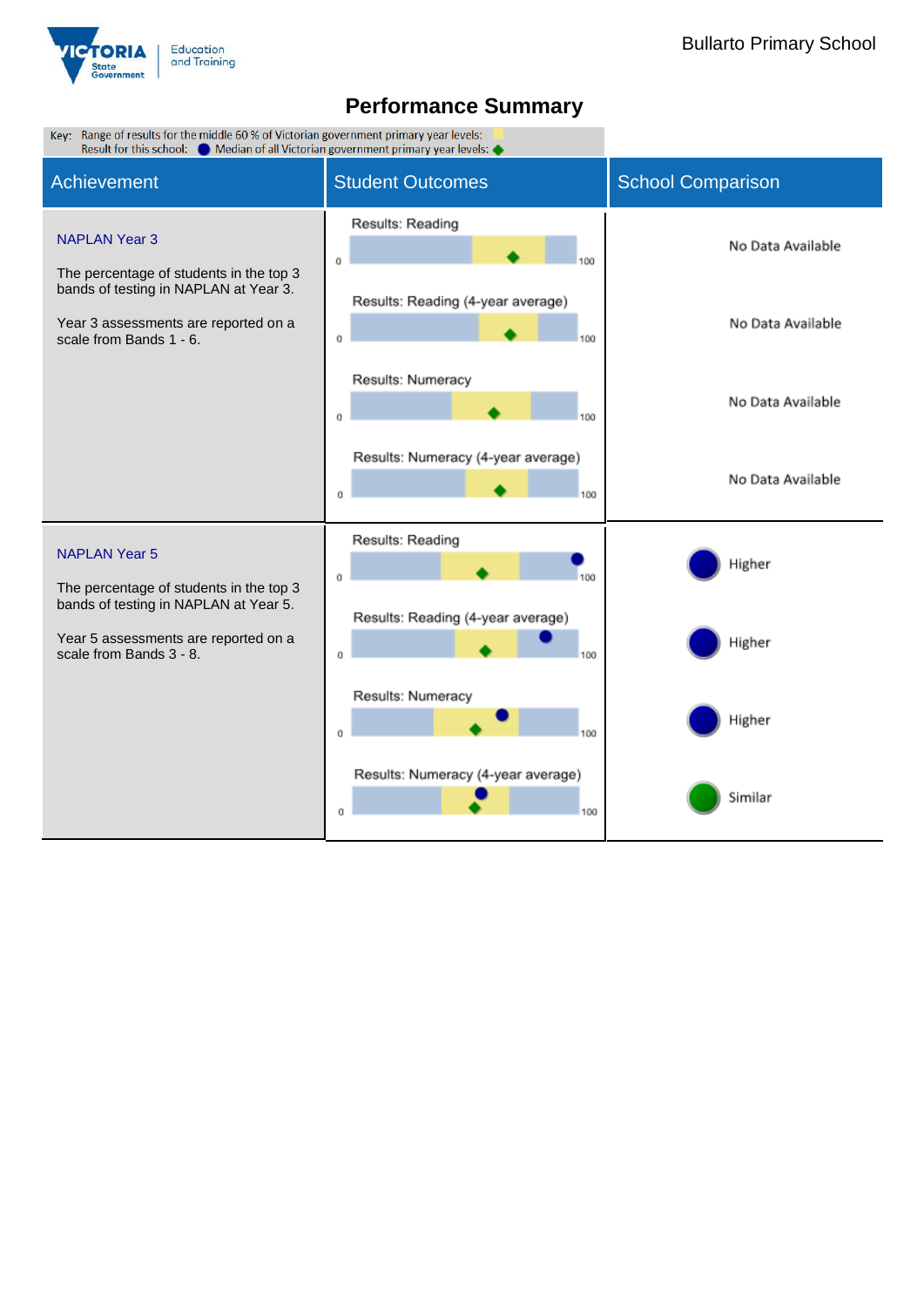

| Key: Range of results for the middle 60 % of Victorian government primary year levels:<br>Result for this school: @ Median of all Victorian government primary year levels: < |                                                |                          |  |  |  |  |
|-------------------------------------------------------------------------------------------------------------------------------------------------------------------------------|------------------------------------------------|--------------------------|--|--|--|--|
| <b>Achievement</b>                                                                                                                                                            | <b>Student Outcomes</b>                        | <b>School Comparison</b> |  |  |  |  |
| <b>NAPLAN Year 3</b><br>The percentage of students in the top 3                                                                                                               | Results: Reading<br>0                          | No Data Available        |  |  |  |  |
| bands of testing in NAPLAN at Year 3.<br>Year 3 assessments are reported on a<br>scale from Bands 1 - 6.                                                                      | Results: Reading (4-year average)<br>0<br>100  | No Data Available        |  |  |  |  |
|                                                                                                                                                                               | Results: Numeracy<br>0<br>100                  | No Data Available        |  |  |  |  |
|                                                                                                                                                                               | Results: Numeracy (4-year average)<br>100<br>0 | No Data Available        |  |  |  |  |
| <b>NAPLAN Year 5</b><br>The percentage of students in the top 3                                                                                                               | Results: Reading<br>100<br>0                   | Higher                   |  |  |  |  |
| bands of testing in NAPLAN at Year 5.<br>Year 5 assessments are reported on a<br>scale from Bands 3 - 8.                                                                      | Results: Reading (4-year average)<br>Ű<br>100  | Higher                   |  |  |  |  |
|                                                                                                                                                                               | Results: Numeracy<br>0                         | Higher                   |  |  |  |  |
|                                                                                                                                                                               | Results: Numeracy (4-year average)<br>100<br>Ű | Similar                  |  |  |  |  |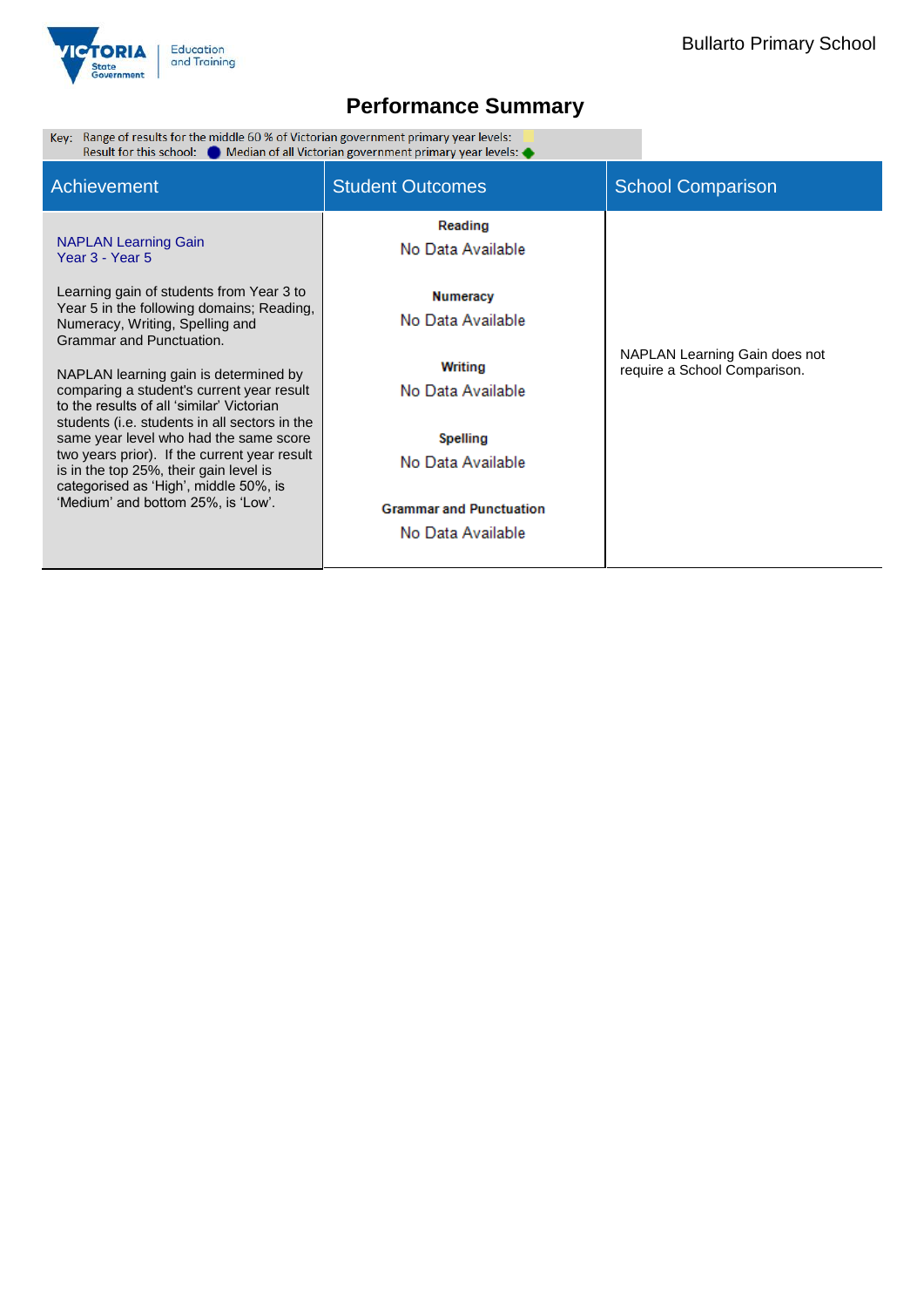

Range of results for the middle 60 % of Victorian government primary year levels:  $\Box$ <br>Result for this school:  $\bullet$  Median of all Victorian government primary year levels:  $\bullet$ Key:

| Achievement                                                                                                                                                                                                                                                                                                                                                                                         | <b>Student Outcomes</b>                             | <b>School Comparison</b>      |  |  |
|-----------------------------------------------------------------------------------------------------------------------------------------------------------------------------------------------------------------------------------------------------------------------------------------------------------------------------------------------------------------------------------------------------|-----------------------------------------------------|-------------------------------|--|--|
| <b>NAPLAN Learning Gain</b><br>Year 3 - Year 5                                                                                                                                                                                                                                                                                                                                                      | Reading<br>No Data Available                        |                               |  |  |
| Learning gain of students from Year 3 to<br>Year 5 in the following domains; Reading,<br>Numeracy, Writing, Spelling and<br>Grammar and Punctuation.                                                                                                                                                                                                                                                | Numeracy<br>No Data Available                       | NAPLAN Learning Gain does not |  |  |
| NAPLAN learning gain is determined by<br>comparing a student's current year result<br>to the results of all 'similar' Victorian<br>students (i.e. students in all sectors in the<br>same year level who had the same score<br>two years prior). If the current year result<br>is in the top 25%, their gain level is<br>categorised as 'High', middle 50%, is<br>'Medium' and bottom 25%, is 'Low'. | Writing<br>No Data Available                        | require a School Comparison.  |  |  |
|                                                                                                                                                                                                                                                                                                                                                                                                     | Spelling<br>No Data Available                       |                               |  |  |
|                                                                                                                                                                                                                                                                                                                                                                                                     | <b>Grammar and Punctuation</b><br>No Data Available |                               |  |  |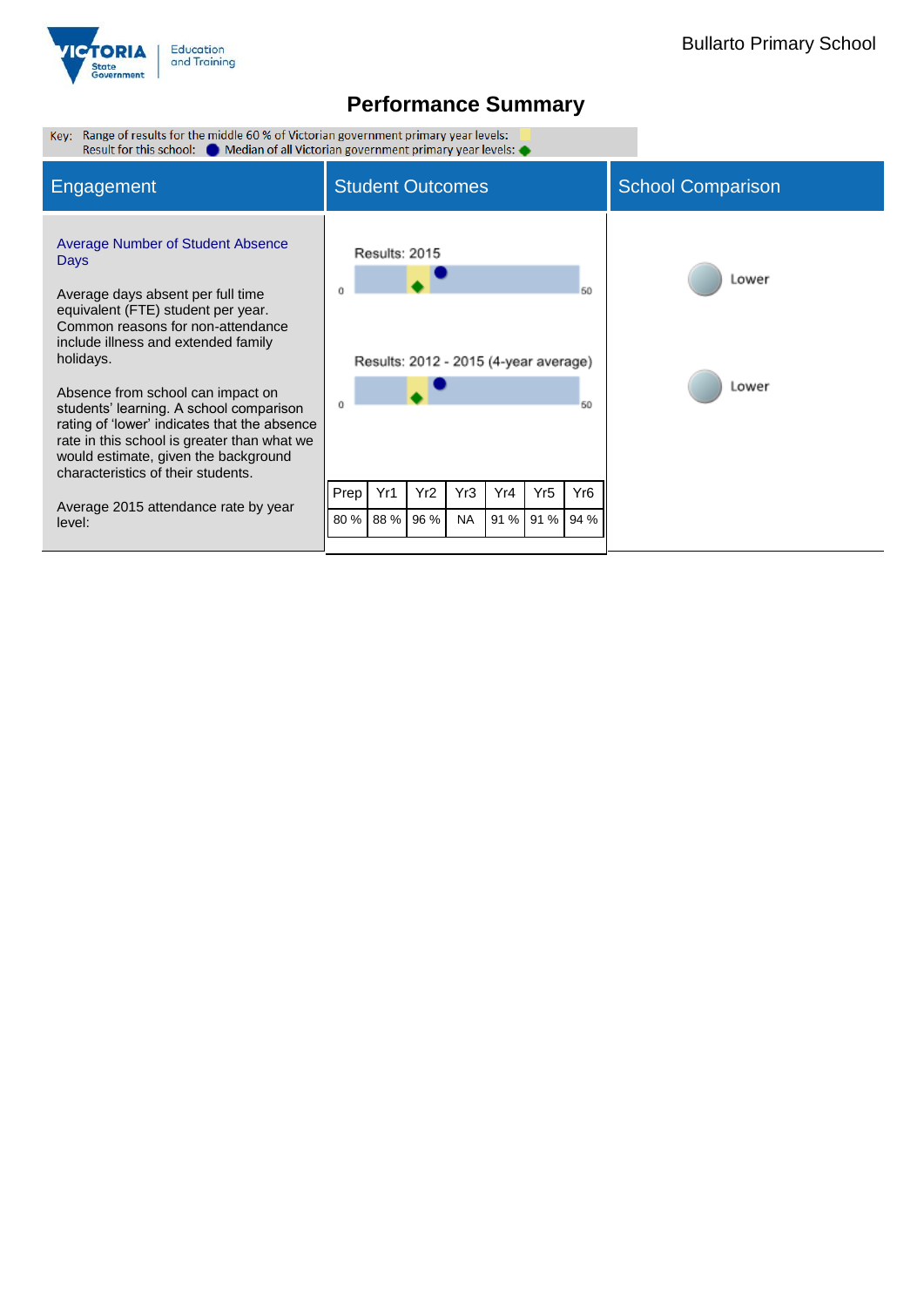

| Key: Range of results for the middle 60 % of Victorian government primary year levels:<br>Result for this school: Comedian of all Victorian government primary year levels:                                                                                                                                                                                                                                                                                                                                                         |                               |                      |                  |                  |                                                      |             |                                     |                |
|-------------------------------------------------------------------------------------------------------------------------------------------------------------------------------------------------------------------------------------------------------------------------------------------------------------------------------------------------------------------------------------------------------------------------------------------------------------------------------------------------------------------------------------|-------------------------------|----------------------|------------------|------------------|------------------------------------------------------|-------------|-------------------------------------|----------------|
| Engagement                                                                                                                                                                                                                                                                                                                                                                                                                                                                                                                          | <b>Student Outcomes</b>       |                      |                  |                  | <b>School Comparison</b>                             |             |                                     |                |
| <b>Average Number of Student Absence</b><br>Days<br>Average days absent per full time<br>equivalent (FTE) student per year.<br>Common reasons for non-attendance<br>include illness and extended family<br>holidays.<br>Absence from school can impact on<br>students' learning. A school comparison<br>rating of 'lower' indicates that the absence<br>rate in this school is greater than what we<br>would estimate, given the background<br>characteristics of their students.<br>Average 2015 attendance rate by year<br>level: | n<br>Prep <sup>1</sup><br>80% | Results: 2015<br>Yr1 | Yr2<br>88 % 96 % | Yr3<br><b>NA</b> | Results: 2012 - 2015 (4-year average)<br>Yr4<br>91 % | Yr5<br>91 % | 60<br>60<br>Yr <sub>6</sub><br>94 % | Lower<br>Lower |
|                                                                                                                                                                                                                                                                                                                                                                                                                                                                                                                                     |                               |                      |                  |                  |                                                      |             |                                     |                |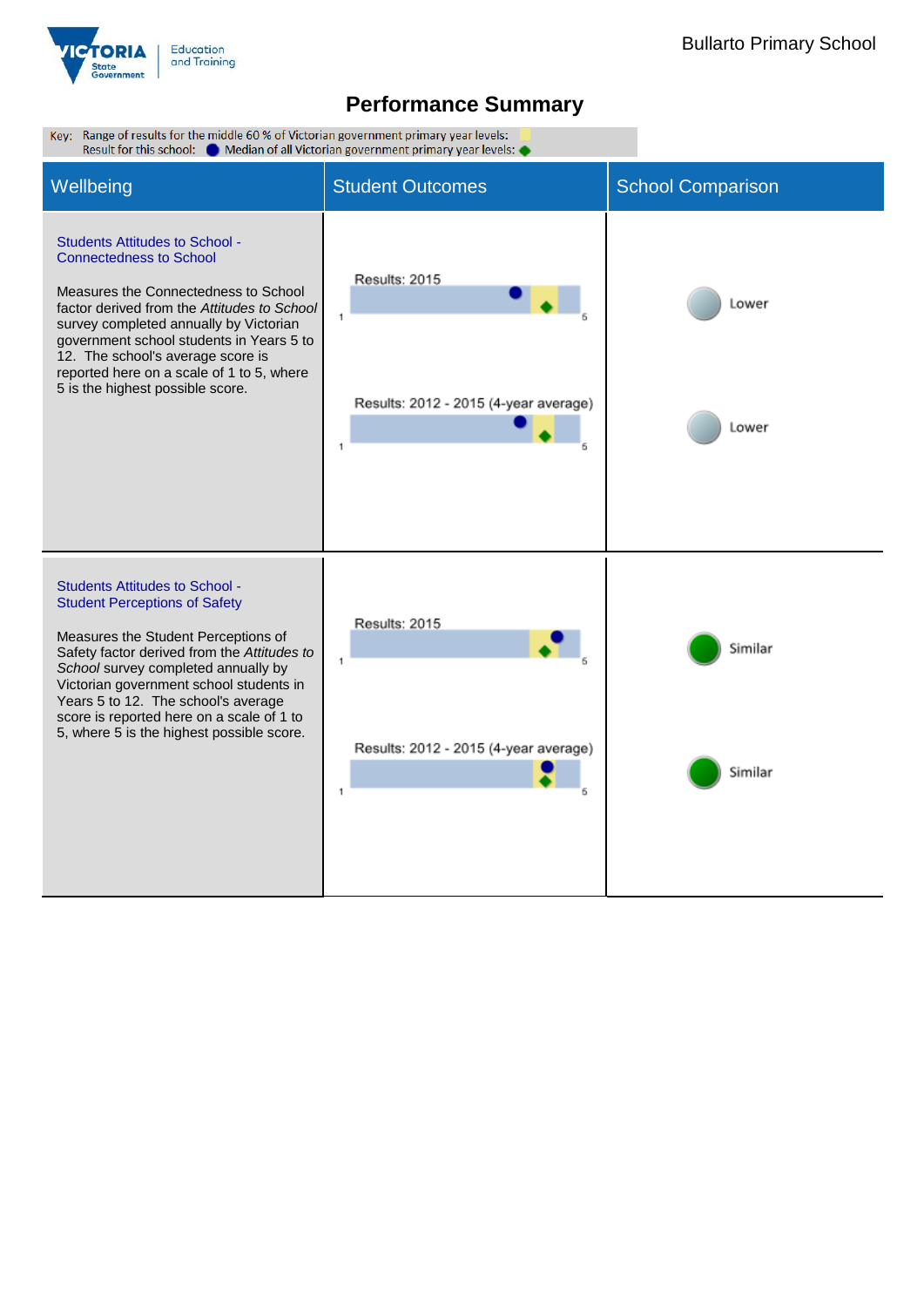

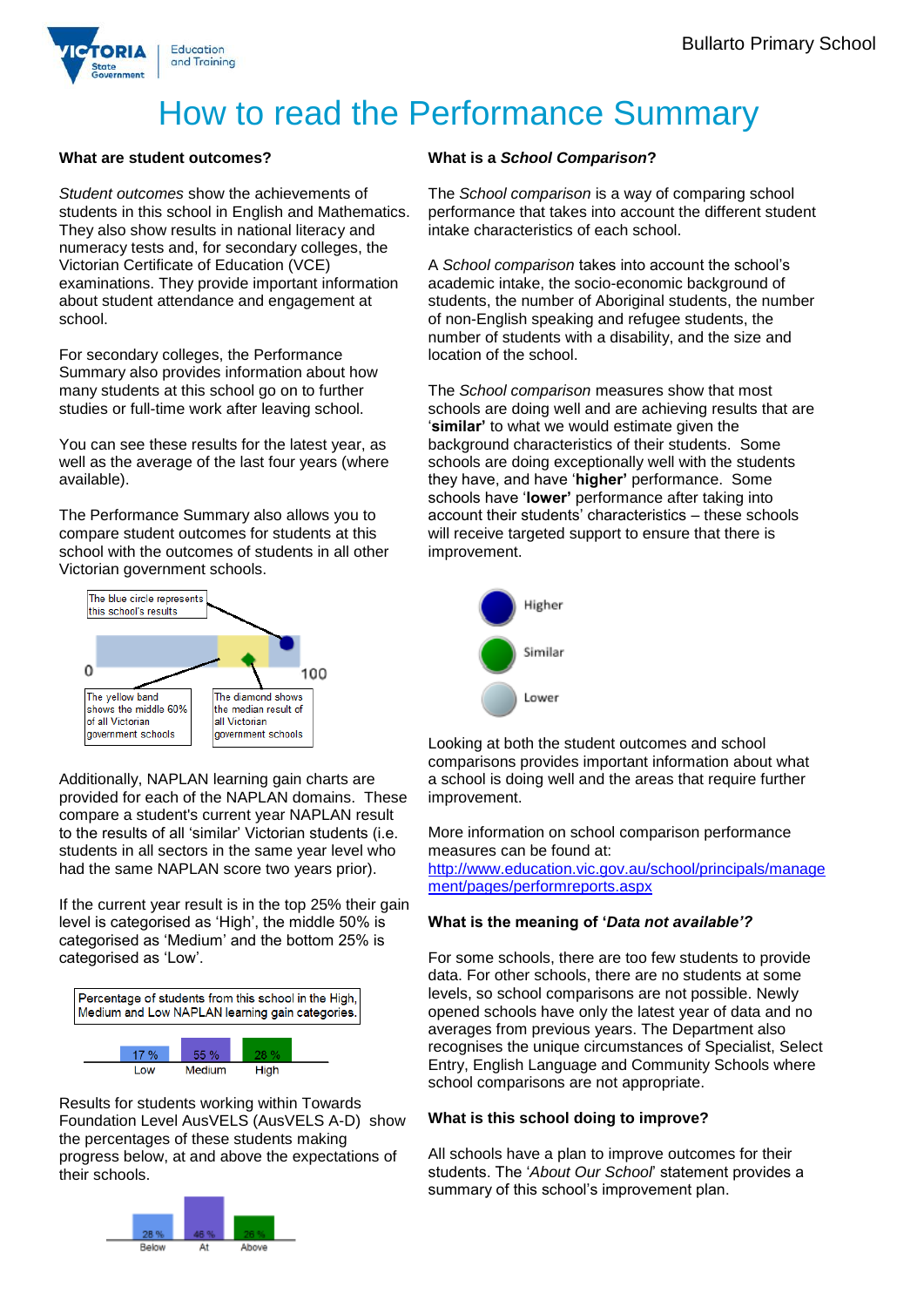

# How to read the Performance Summary

#### **What are student outcomes?**

*Student outcomes* show the achievements of students in this school in English and Mathematics. They also show results in national literacy and numeracy tests and, for secondary colleges, the Victorian Certificate of Education (VCE) examinations. They provide important information about student attendance and engagement at school.

For secondary colleges, the Performance Summary also provides information about how many students at this school go on to further studies or full-time work after leaving school.

You can see these results for the latest year, as well as the average of the last four years (where available).

The Performance Summary also allows you to compare student outcomes for students at this school with the outcomes of students in all other Victorian government schools.



Additionally, NAPLAN learning gain charts are provided for each of the NAPLAN domains. These compare a student's current year NAPLAN result to the results of all 'similar' Victorian students (i.e. students in all sectors in the same year level who had the same NAPLAN score two years prior).

If the current year result is in the top 25% their gain level is categorised as 'High', the middle 50% is categorised as 'Medium' and the bottom 25% is categorised as 'Low'.



Results for students working within Towards Foundation Level AusVELS (AusVELS A-D) show the percentages of these students making progress below, at and above the expectations of their schools.



### **What is a** *School Comparison***?**

The *School comparison* is a way of comparing school performance that takes into account the different student intake characteristics of each school.

A *School comparison* takes into account the school's academic intake, the socio-economic background of students, the number of Aboriginal students, the number of non-English speaking and refugee students, the number of students with a disability, and the size and location of the school.

The *School comparison* measures show that most schools are doing well and are achieving results that are '**similar'** to what we would estimate given the background characteristics of their students. Some schools are doing exceptionally well with the students they have, and have '**higher'** performance. Some schools have '**lower'** performance after taking into account their students' characteristics – these schools will receive targeted support to ensure that there is improvement.



Looking at both the student outcomes and school comparisons provides important information about what a school is doing well and the areas that require further improvement.

More information on school comparison performance measures can be found at:

[http://www.education.vic.gov.au/school/principals/manage](http://www.education.vic.gov.au/school/principals/management/pages/performreports.aspx) [ment/pages/performreports.aspx](http://www.education.vic.gov.au/school/principals/management/pages/performreports.aspx)

### **What is the meaning of '***Data not available'?*

For some schools, there are too few students to provide data. For other schools, there are no students at some levels, so school comparisons are not possible. Newly opened schools have only the latest year of data and no averages from previous years. The Department also recognises the unique circumstances of Specialist, Select Entry, English Language and Community Schools where school comparisons are not appropriate.

#### **What is this school doing to improve?**

All schools have a plan to improve outcomes for their students. The '*About Our School*' statement provides a summary of this school's improvement plan.